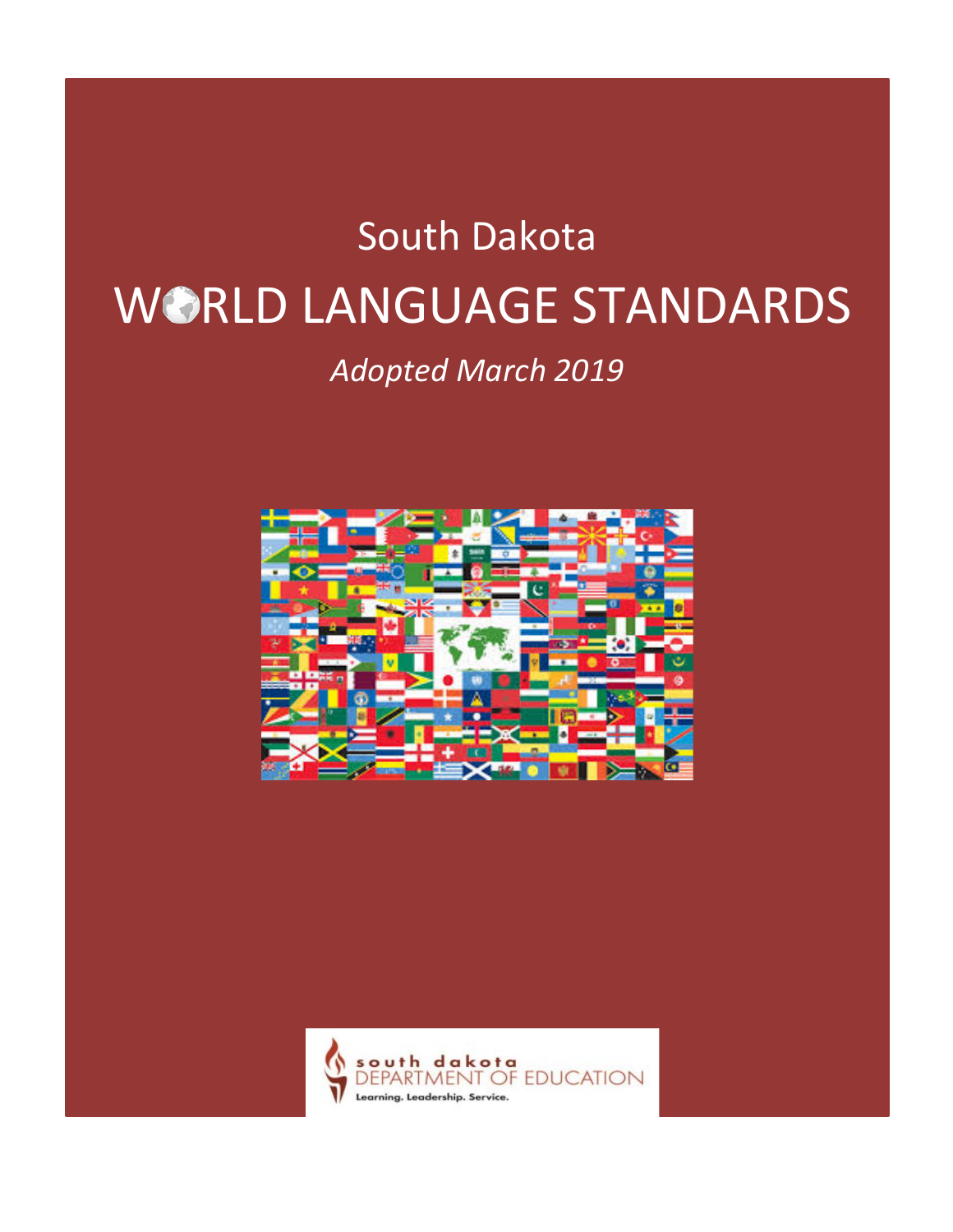# South Dakota WORLD LANGUAGE STANDARDS

## *Adopted March 2019*



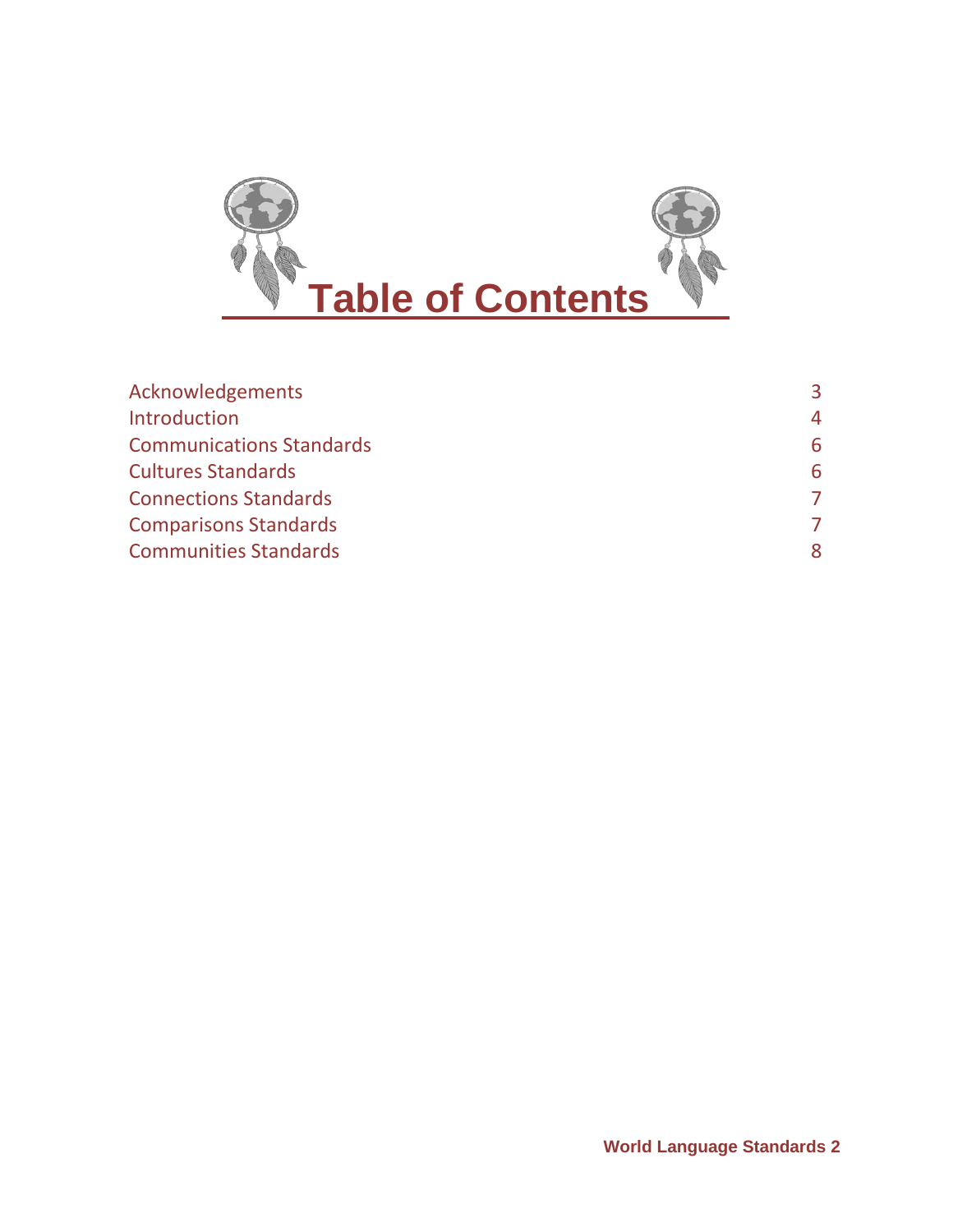

| Acknowledgements                | 3. |
|---------------------------------|----|
| Introduction                    | 4  |
| <b>Communications Standards</b> | 6  |
| <b>Cultures Standards</b>       | 6  |
| <b>Connections Standards</b>    |    |
| <b>Comparisons Standards</b>    |    |
| <b>Communities Standards</b>    |    |
|                                 |    |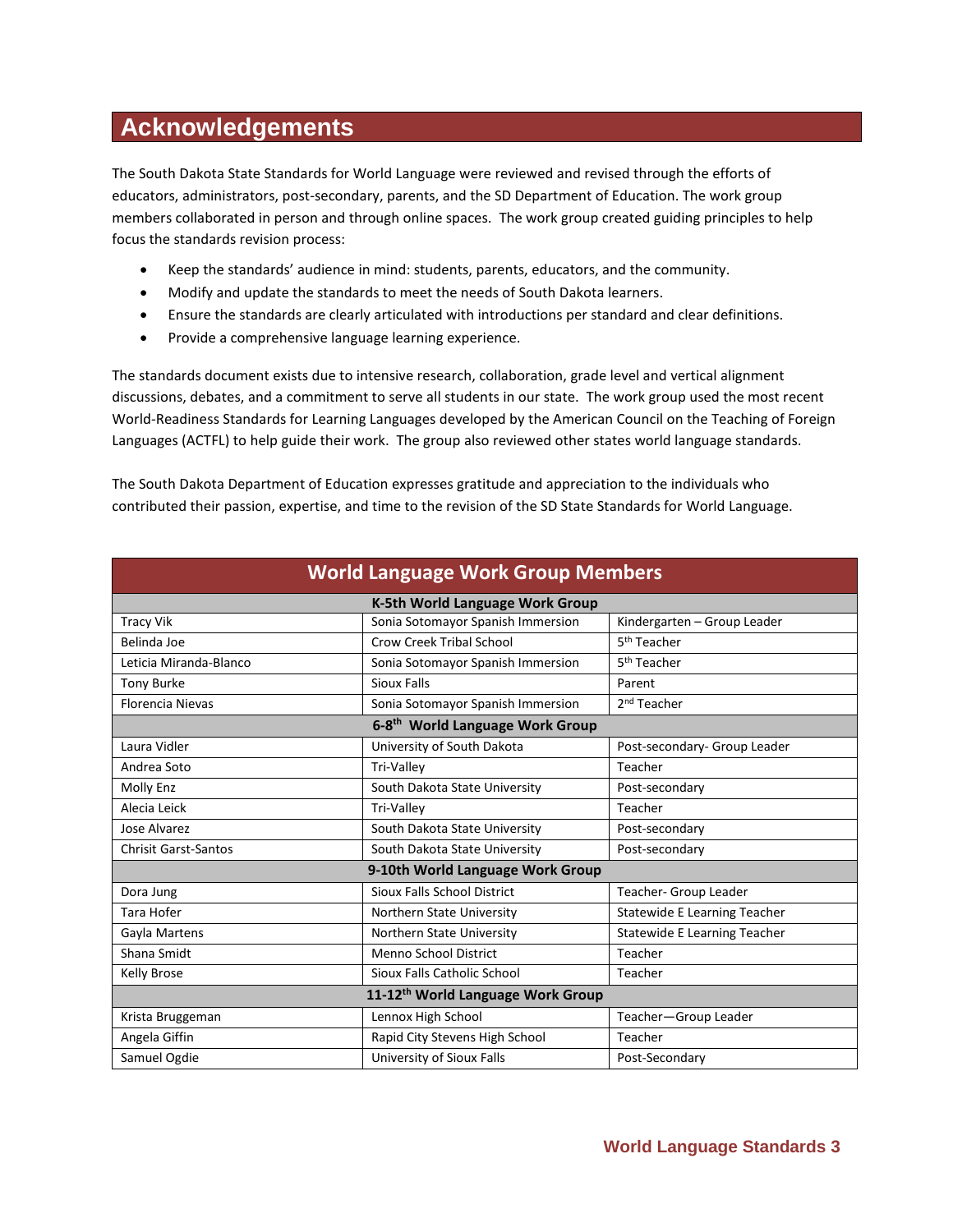## **Acknowledgements**

The South Dakota State Standards for World Language were reviewed and revised through the efforts of educators, administrators, post-secondary, parents, and the SD Department of Education. The work group members collaborated in person and through online spaces. The work group created guiding principles to help focus the standards revision process:

- Keep the standards' audience in mind: students, parents, educators, and the community.
- Modify and update the standards to meet the needs of South Dakota learners.
- Ensure the standards are clearly articulated with introductions per standard and clear definitions.
- Provide a comprehensive language learning experience.

The standards document exists due to intensive research, collaboration, grade level and vertical alignment discussions, debates, and a commitment to serve all students in our state. The work group used the most recent World-Readiness Standards for Learning Languages developed by the American Council on the Teaching of Foreign Languages (ACTFL) to help guide their work. The group also reviewed other states world language standards.

The South Dakota Department of Education expresses gratitude and appreciation to the individuals who contributed their passion, expertise, and time to the revision of the SD State Standards for World Language.

| <b>World Language Work Group Members</b>      |                                   |                                     |  |
|-----------------------------------------------|-----------------------------------|-------------------------------------|--|
| K-5th World Language Work Group               |                                   |                                     |  |
| <b>Tracy Vik</b>                              | Sonia Sotomayor Spanish Immersion | Kindergarten - Group Leader         |  |
| Belinda Joe                                   | Crow Creek Tribal School          | 5 <sup>th</sup> Teacher             |  |
| Leticia Miranda-Blanco                        | Sonia Sotomayor Spanish Immersion | 5 <sup>th</sup> Teacher             |  |
| <b>Tony Burke</b>                             | Sioux Falls                       | Parent                              |  |
| <b>Florencia Nievas</b>                       | Sonia Sotomayor Spanish Immersion | 2 <sup>nd</sup> Teacher             |  |
| 6-8 <sup>th</sup> World Language Work Group   |                                   |                                     |  |
| Laura Vidler                                  | University of South Dakota        | Post-secondary- Group Leader        |  |
| Andrea Soto                                   | Tri-Valley                        | Teacher                             |  |
| <b>Molly Enz</b>                              | South Dakota State University     | Post-secondary                      |  |
| Alecia Leick                                  | <b>Tri-Vallev</b>                 | Teacher                             |  |
| Jose Alvarez                                  | South Dakota State University     | Post-secondary                      |  |
| <b>Chrisit Garst-Santos</b>                   | South Dakota State University     | Post-secondary                      |  |
|                                               | 9-10th World Language Work Group  |                                     |  |
| Dora Jung                                     | Sioux Falls School District       | Teacher- Group Leader               |  |
| Tara Hofer                                    | Northern State University         | <b>Statewide E Learning Teacher</b> |  |
| Gayla Martens                                 | Northern State University         | <b>Statewide E Learning Teacher</b> |  |
| Shana Smidt                                   | Menno School District             | Teacher                             |  |
| <b>Kelly Brose</b>                            | Sioux Falls Catholic School       | Teacher                             |  |
| 11-12 <sup>th</sup> World Language Work Group |                                   |                                     |  |
| Krista Bruggeman                              | Lennox High School                | Teacher-Group Leader                |  |
| Angela Giffin                                 | Rapid City Stevens High School    | Teacher                             |  |
| Samuel Ogdie                                  | University of Sioux Falls         | Post-Secondary                      |  |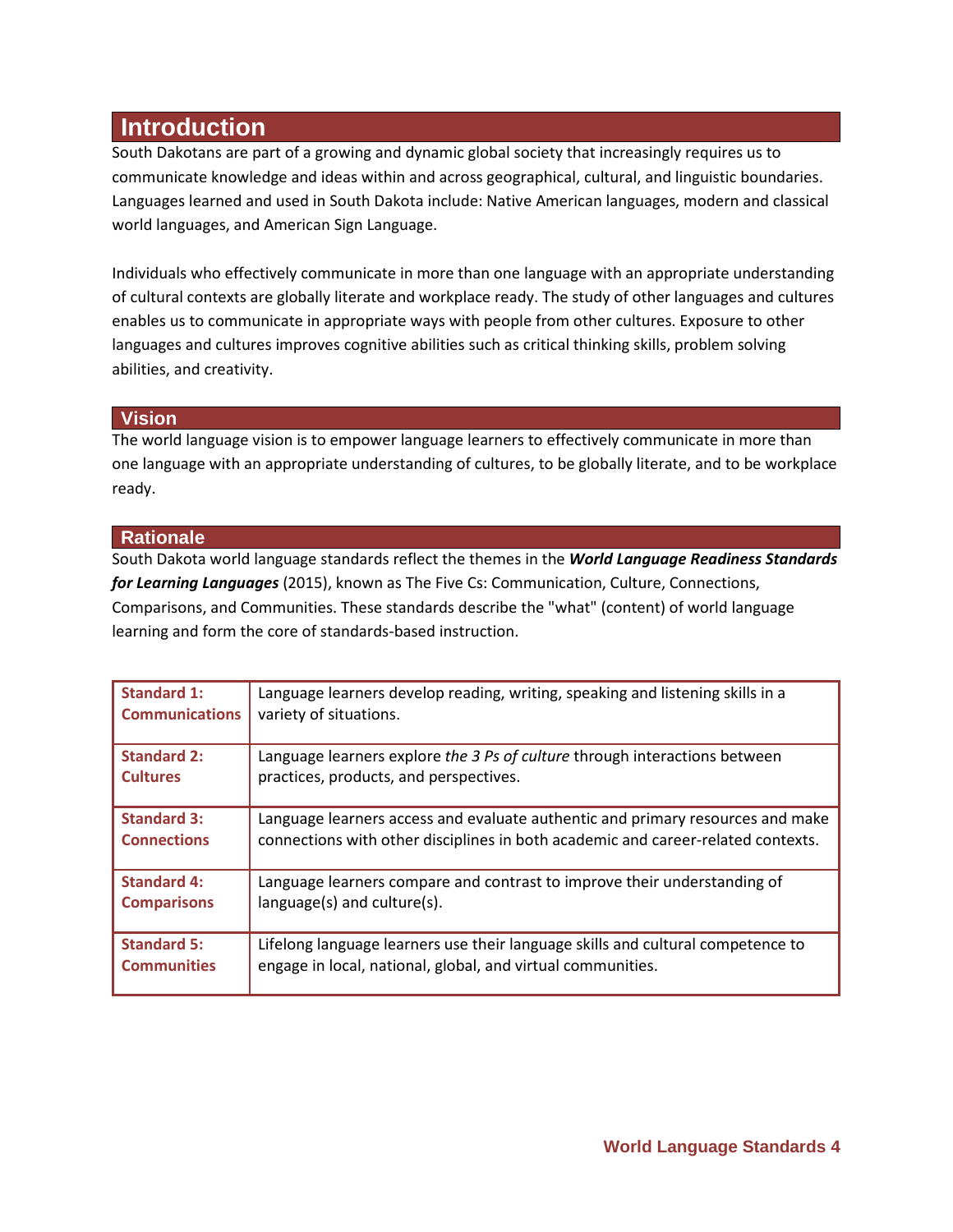## **Introduction**

South Dakotans are part of a growing and dynamic global society that increasingly requires us to communicate knowledge and ideas within and across geographical, cultural, and linguistic boundaries. Languages learned and used in South Dakota include: Native American languages, modern and classical world languages, and American Sign Language.

Individuals who effectively communicate in more than one language with an appropriate understanding of cultural contexts are globally literate and workplace ready. The study of other languages and cultures enables us to communicate in appropriate ways with people from other cultures. Exposure to other languages and cultures improves cognitive abilities such as critical thinking skills, problem solving abilities, and creativity.

#### **Vision**

The world language vision is to empower language learners to effectively communicate in more than one language with an appropriate understanding of cultures, to be globally literate, and to be workplace ready.

#### **Rationale**

South Dakota world language standards reflect the themes in the *World Language Readiness Standards for Learning Languages* (2015), known as The Five Cs: Communication, Culture, Connections, Comparisons, and Communities. These standards describe the "what" (content) of world language learning and form the core of standards-based instruction.

| <b>Standard 1:</b>    | Language learners develop reading, writing, speaking and listening skills in a   |
|-----------------------|----------------------------------------------------------------------------------|
| <b>Communications</b> | variety of situations.                                                           |
| <b>Standard 2:</b>    | Language learners explore the 3 Ps of culture through interactions between       |
| <b>Cultures</b>       | practices, products, and perspectives.                                           |
| <b>Standard 3:</b>    | Language learners access and evaluate authentic and primary resources and make   |
| <b>Connections</b>    | connections with other disciplines in both academic and career-related contexts. |
| <b>Standard 4:</b>    | Language learners compare and contrast to improve their understanding of         |
| <b>Comparisons</b>    | language(s) and culture(s).                                                      |
| <b>Standard 5:</b>    | Lifelong language learners use their language skills and cultural competence to  |
| <b>Communities</b>    | engage in local, national, global, and virtual communities.                      |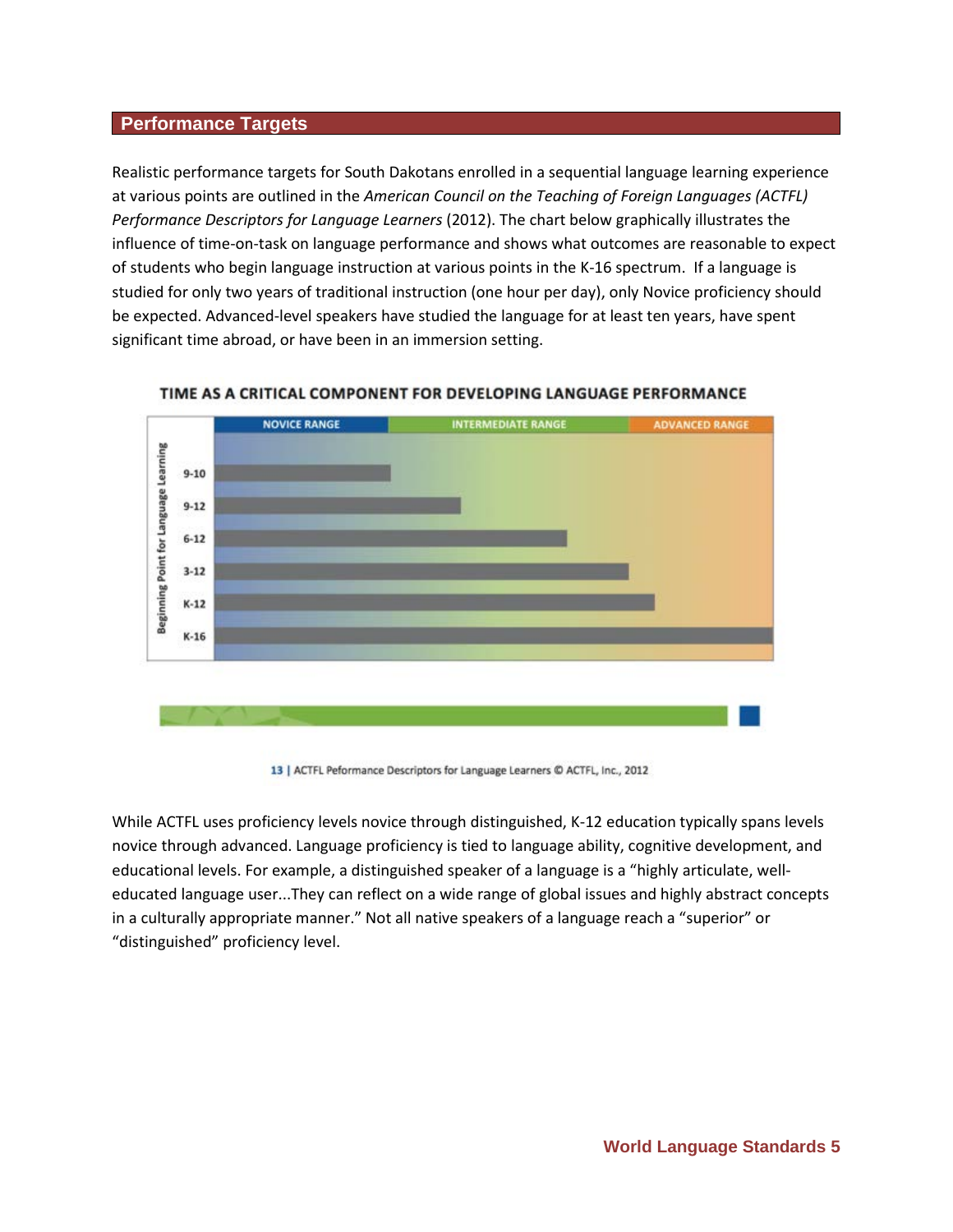#### **Performance Targets**

Realistic performance targets for South Dakotans enrolled in a sequential language learning experience at various points are outlined in the *American Council on the Teaching of Foreign Languages (ACTFL) Performance Descriptors for Language Learners* (2012). The chart below graphically illustrates the influence of time-on-task on language performance and shows what outcomes are reasonable to expect of students who begin language instruction at various points in the K-16 spectrum. If a language is studied for only two years of traditional instruction (one hour per day), only Novice proficiency should be expected. Advanced-level speakers have studied the language for at least ten years, have spent significant time abroad, or have been in an immersion setting.



#### TIME AS A CRITICAL COMPONENT FOR DEVELOPING LANGUAGE PERFORMANCE

13 | ACTFL Peformance Descriptors for Language Learners @ ACTFL, Inc., 2012

While ACTFL uses proficiency levels novice through distinguished, K-12 education typically spans levels novice through advanced. Language proficiency is tied to language ability, cognitive development, and educational levels. For example, a distinguished speaker of a language is a "highly articulate, welleducated language user...They can reflect on a wide range of global issues and highly abstract concepts in a culturally appropriate manner." Not all native speakers of a language reach a "superior" or "distinguished" proficiency level.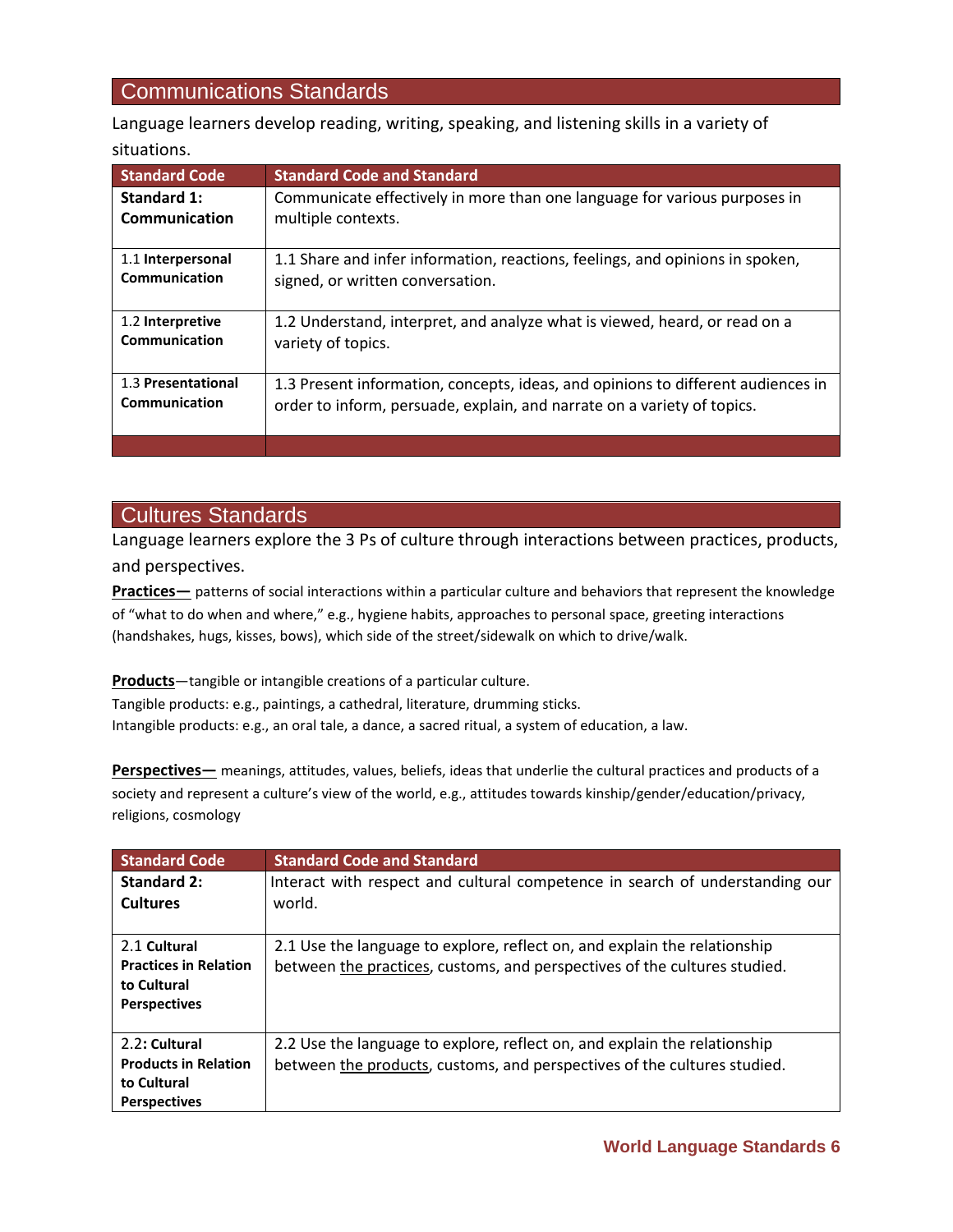## Communications Standards

Language learners develop reading, writing, speaking, and listening skills in a variety of situations.

| <b>Standard Code</b>                | <b>Standard Code and Standard</b>                                                                                                                           |
|-------------------------------------|-------------------------------------------------------------------------------------------------------------------------------------------------------------|
| Standard 1:                         | Communicate effectively in more than one language for various purposes in                                                                                   |
| <b>Communication</b>                | multiple contexts.                                                                                                                                          |
| 1.1 Interpersonal<br>Communication  | 1.1 Share and infer information, reactions, feelings, and opinions in spoken,<br>signed, or written conversation.                                           |
| 1.2 Interpretive<br>Communication   | 1.2 Understand, interpret, and analyze what is viewed, heard, or read on a<br>variety of topics.                                                            |
| 1.3 Presentational<br>Communication | 1.3 Present information, concepts, ideas, and opinions to different audiences in<br>order to inform, persuade, explain, and narrate on a variety of topics. |
|                                     |                                                                                                                                                             |

### Cultures Standards

Language learners explore the 3 Ps of culture through interactions between practices, products, and perspectives.

**Practices—** patterns of social interactions within a particular culture and behaviors that represent the knowledge of "what to do when and where," e.g., hygiene habits, approaches to personal space, greeting interactions (handshakes, hugs, kisses, bows), which side of the street/sidewalk on which to drive/walk.

**Products**—tangible or intangible creations of a particular culture.

Tangible products: e.g., paintings, a cathedral, literature, drumming sticks. Intangible products: e.g., an oral tale, a dance, a sacred ritual, a system of education, a law.

**Perspectives—** meanings, attitudes, values, beliefs, ideas that underlie the cultural practices and products of a society and represent a culture's view of the world, e.g., attitudes towards kinship/gender/education/privacy, religions, cosmology

| <b>Standard Code</b>         | <b>Standard Code and Standard</b>                                            |
|------------------------------|------------------------------------------------------------------------------|
| Standard 2:                  | Interact with respect and cultural competence in search of understanding our |
| <b>Cultures</b>              | world.                                                                       |
| 2.1 Cultural                 | 2.1 Use the language to explore, reflect on, and explain the relationship    |
| <b>Practices in Relation</b> | between the practices, customs, and perspectives of the cultures studied.    |
| to Cultural                  |                                                                              |
| <b>Perspectives</b>          |                                                                              |
|                              |                                                                              |
| 2.2: Cultural                | 2.2 Use the language to explore, reflect on, and explain the relationship    |
| <b>Products in Relation</b>  | between the products, customs, and perspectives of the cultures studied.     |
| to Cultural                  |                                                                              |
| <b>Perspectives</b>          |                                                                              |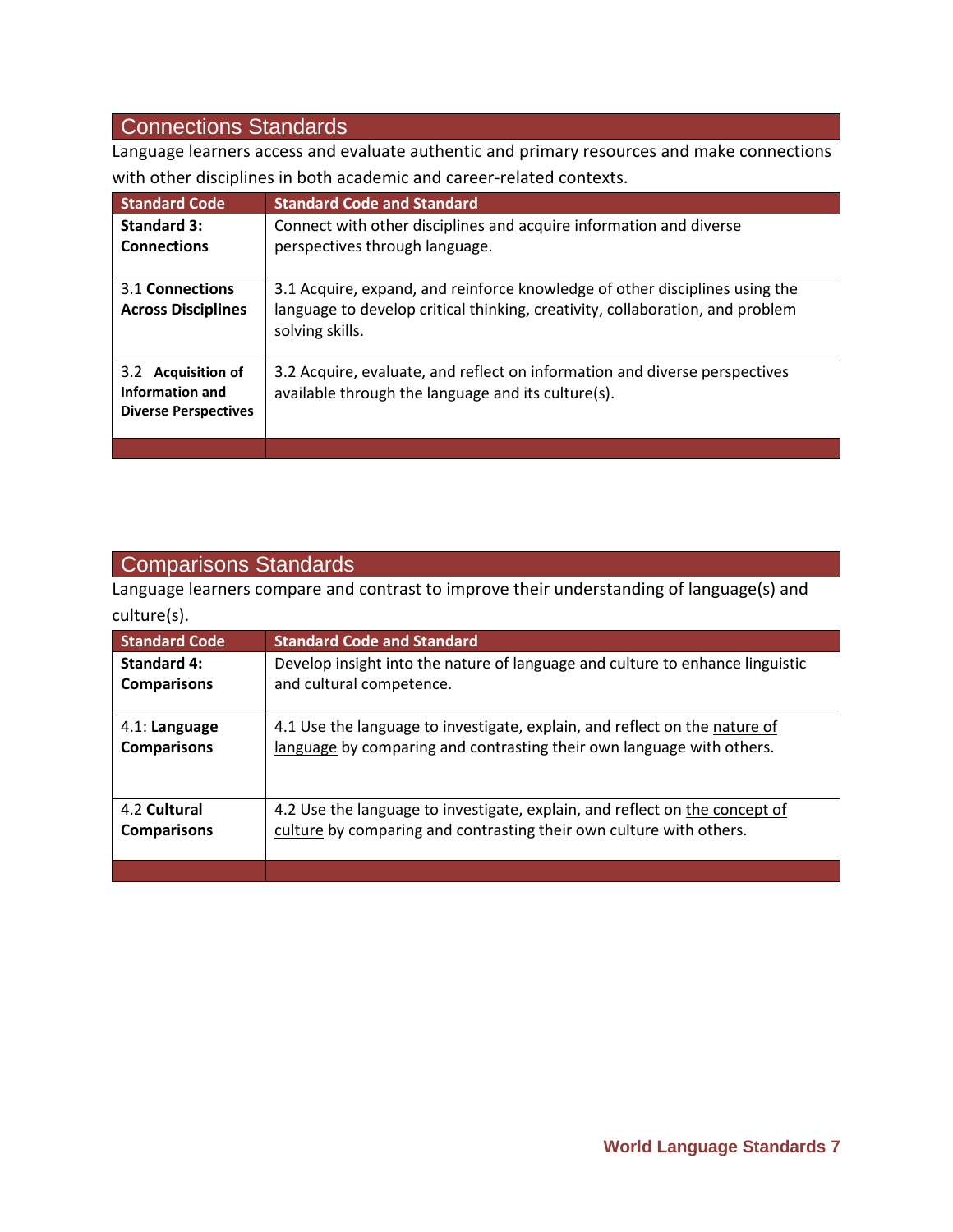## Connections Standards

Language learners access and evaluate authentic and primary resources and make connections with other disciplines in both academic and career-related contexts.

| <b>Standard Code</b>                                                 | <b>Standard Code and Standard</b>                                                                                                                                               |
|----------------------------------------------------------------------|---------------------------------------------------------------------------------------------------------------------------------------------------------------------------------|
| <b>Standard 3:</b>                                                   | Connect with other disciplines and acquire information and diverse                                                                                                              |
| <b>Connections</b>                                                   | perspectives through language.                                                                                                                                                  |
| 3.1 Connections<br><b>Across Disciplines</b>                         | 3.1 Acquire, expand, and reinforce knowledge of other disciplines using the<br>language to develop critical thinking, creativity, collaboration, and problem<br>solving skills. |
| 3.2 Acquisition of<br>Information and<br><b>Diverse Perspectives</b> | 3.2 Acquire, evaluate, and reflect on information and diverse perspectives<br>available through the language and its culture(s).                                                |
|                                                                      |                                                                                                                                                                                 |

## Comparisons Standards

Language learners compare and contrast to improve their understanding of language(s) and culture(s).

| <b>Standard Code</b> | <b>Standard Code and Standard</b>                                             |
|----------------------|-------------------------------------------------------------------------------|
| <b>Standard 4:</b>   | Develop insight into the nature of language and culture to enhance linguistic |
| <b>Comparisons</b>   | and cultural competence.                                                      |
| 4.1: Language        | 4.1 Use the language to investigate, explain, and reflect on the nature of    |
| <b>Comparisons</b>   | language by comparing and contrasting their own language with others.         |
| 4.2 Cultural         | 4.2 Use the language to investigate, explain, and reflect on the concept of   |
| <b>Comparisons</b>   | culture by comparing and contrasting their own culture with others.           |
|                      |                                                                               |